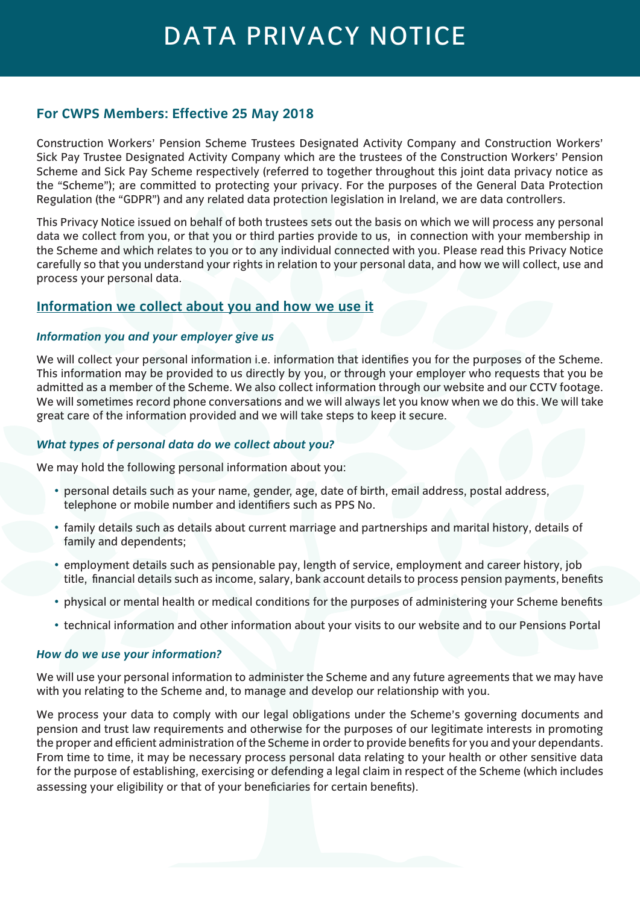# DATA PRIVACY NOTICE

# **For CWPS Members: Effective 25 May 2018**

Construction Workers' Pension Scheme Trustees Designated Activity Company and Construction Workers' Sick Pay Trustee Designated Activity Company which are the trustees of the Construction Workers' Pension Scheme and Sick Pay Scheme respectively (referred to together throughout this joint data privacy notice as the "Scheme"); are committed to protecting your privacy. For the purposes of the General Data Protection Regulation (the "GDPR") and any related data protection legislation in Ireland, we are data controllers.

This Privacy Notice issued on behalf of both trustees sets out the basis on which we will process any personal data we collect from you, or that you or third parties provide to us, in connection with your membership in the Scheme and which relates to you or to any individual connected with you. Please read this Privacy Notice carefully so that you understand your rights in relation to your personal data, and how we will collect, use and process your personal data.

# **Information we collect about you and how we use it**

# *Information you and your employer give us*

We will collect your personal information i.e. information that identifies you for the purposes of the Scheme. This information may be provided to us directly by you, or through your employer who requests that you be admitted as a member of the Scheme. We also collect information through our website and our CCTV footage. We will sometimes record phone conversations and we will always let you know when we do this. We will take great care of the information provided and we will take steps to keep it secure.

## *What types of personal data do we collect about you?*

We may hold the following personal information about you:

- personal details such as your name, gender, age, date of birth, email address, postal address, telephone or mobile number and identifiers such as PPS No.
- family details such as details about current marriage and partnerships and marital history, details of family and dependents;
- employment details such as pensionable pay, length of service, employment and career history, job title, financial details such as income, salary, bank account details to process pension payments, benefits
- physical or mental health or medical conditions for the purposes of administering your Scheme benefits
- technical information and other information about your visits to our website and to our Pensions Portal

## *How do we use your information?*

We will use your personal information to administer the Scheme and any future agreements that we may have with you relating to the Scheme and, to manage and develop our relationship with you.

We process your data to comply with our legal obligations under the Scheme's governing documents and pension and trust law requirements and otherwise for the purposes of our legitimate interests in promoting the proper and efficient administration of the Scheme in order to provide benefits for you and your dependants. From time to time, it may be necessary process personal data relating to your health or other sensitive data for the purpose of establishing, exercising or defending a legal claim in respect of the Scheme (which includes assessing your eligibility or that of your beneficiaries for certain benefits).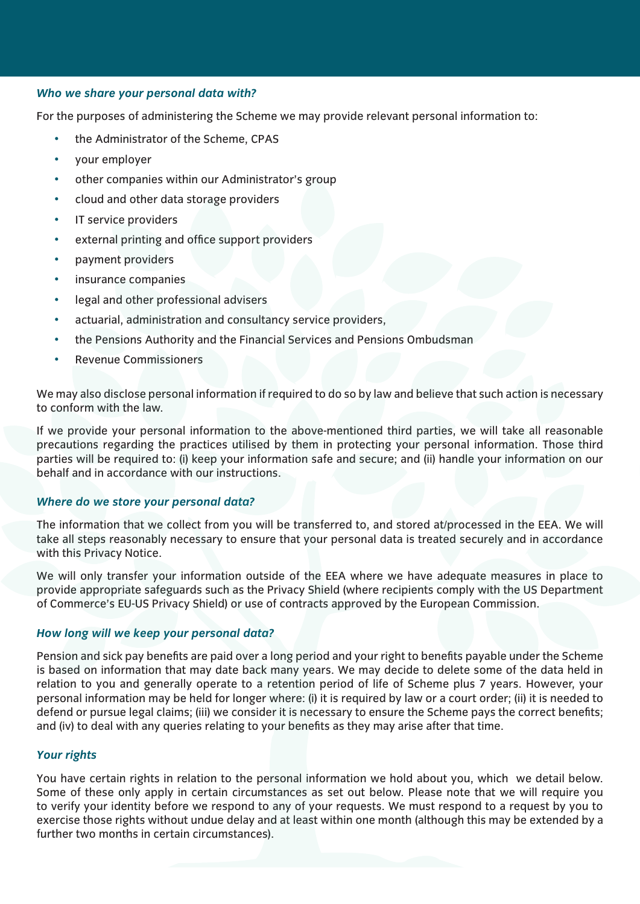### *Who we share your personal data with?*

For the purposes of administering the Scheme we may provide relevant personal information to:

- the Administrator of the Scheme, CPAS
- your employer
- other companies within our Administrator's group
- cloud and other data storage providers
- IT service providers
- external printing and office support providers
- payment providers
- insurance companies
- legal and other professional advisers
- actuarial, administration and consultancy service providers,
- the Pensions Authority and the Financial Services and Pensions Ombudsman
- Revenue Commissioners

We may also disclose personal information if required to do so by law and believe that such action is necessary to conform with the law.

If we provide your personal information to the above-mentioned third parties, we will take all reasonable precautions regarding the practices utilised by them in protecting your personal information. Those third parties will be required to: (i) keep your information safe and secure; and (ii) handle your information on our behalf and in accordance with our instructions.

#### *Where do we store your personal data?*

The information that we collect from you will be transferred to, and stored at/processed in the EEA. We will take all steps reasonably necessary to ensure that your personal data is treated securely and in accordance with this Privacy Notice.

We will only transfer your information outside of the EEA where we have adequate measures in place to provide appropriate safeguards such as the Privacy Shield (where recipients comply with the US Department of Commerce's EU-US Privacy Shield) or use of contracts approved by the European Commission.

#### *How long will we keep your personal data?*

Pension and sick pay benefits are paid over a long period and your right to benefits payable under the Scheme is based on information that may date back many years. We may decide to delete some of the data held in relation to you and generally operate to a retention period of life of Scheme plus 7 years. However, your personal information may be held for longer where: (i) it is required by law or a court order; (ii) it is needed to defend or pursue legal claims; (iii) we consider it is necessary to ensure the Scheme pays the correct benefits; and (iv) to deal with any queries relating to your benefits as they may arise after that time.

#### *Your rights*

You have certain rights in relation to the personal information we hold about you, which we detail below. Some of these only apply in certain circumstances as set out below. Please note that we will require you to verify your identity before we respond to any of your requests. We must respond to a request by you to exercise those rights without undue delay and at least within one month (although this may be extended by a further two months in certain circumstances).